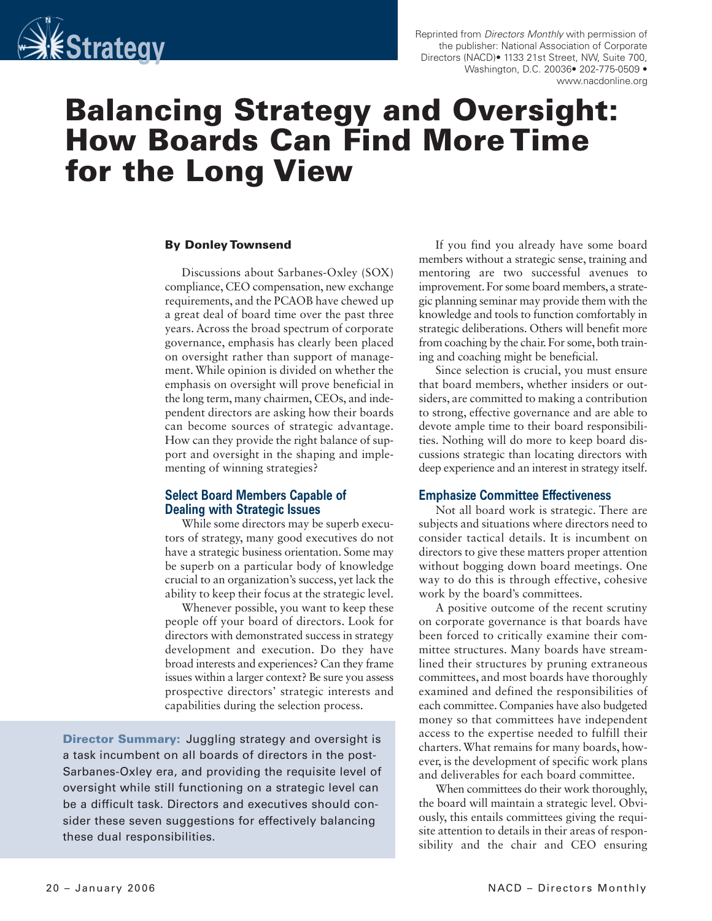

Reprinted from Directors Monthly with permission of the publisher: National Association of Corporate Directors (NACD)• 1133 21st Street, NW, Suite 700, Washington, D.C. 20036• 202-775-0509 • www.nacdonline.org

# Balancing Strategy and Oversight: How Boards Can Find More Time for the Long View

#### By Donley Townsend

Discussions about Sarbanes-Oxley (SOX) compliance, CEO compensation, new exchange requirements, and the PCAOB have chewed up a great deal of board time over the past three years. Across the broad spectrum of corporate governance, emphasis has clearly been placed on oversight rather than support of management. While opinion is divided on whether the emphasis on oversight will prove beneficial in the long term, many chairmen, CEOs, and independent directors are asking how their boards can become sources of strategic advantage. How can they provide the right balance of support and oversight in the shaping and implementing of winning strategies?

#### Select Board Members Capable of Dealing with Strategic Issues

While some directors may be superb executors of strategy, many good executives do not have a strategic business orientation. Some may be superb on a particular body of knowledge crucial to an organization's success, yet lack the ability to keep their focus at the strategic level.

Whenever possible, you want to keep these people off your board of directors. Look for directors with demonstrated success in strategy development and execution. Do they have broad interests and experiences? Can they frame issues within a larger context? Be sure you assess prospective directors' strategic interests and capabilities during the selection process.

**Director Summary:** Juggling strategy and oversight is a task incumbent on all boards of directors in the post-Sarbanes-Oxley era, and providing the requisite level of oversight while still functioning on a strategic level can be a difficult task. Directors and executives should consider these seven suggestions for effectively balancing these dual responsibilities.

If you find you already have some board members without a strategic sense, training and mentoring are two successful avenues to improvement. For some board members, a strategic planning seminar may provide them with the knowledge and tools to function comfortably in strategic deliberations. Others will benefit more from coaching by the chair. For some, both training and coaching might be beneficial.

Since selection is crucial, you must ensure that board members, whether insiders or outsiders, are committed to making a contribution to strong, effective governance and are able to devote ample time to their board responsibilities. Nothing will do more to keep board discussions strategic than locating directors with deep experience and an interest in strategy itself.

#### Emphasize Committee Effectiveness

Not all board work is strategic. There are subjects and situations where directors need to consider tactical details. It is incumbent on directors to give these matters proper attention without bogging down board meetings. One way to do this is through effective, cohesive work by the board's committees.

A positive outcome of the recent scrutiny on corporate governance is that boards have been forced to critically examine their committee structures. Many boards have streamlined their structures by pruning extraneous committees, and most boards have thoroughly examined and defined the responsibilities of each committee. Companies have also budgeted money so that committees have independent access to the expertise needed to fulfill their charters. What remains for many boards, however, is the development of specific work plans and deliverables for each board committee.

When committees do their work thoroughly, the board will maintain a strategic level. Obviously, this entails committees giving the requisite attention to details in their areas of responsibility and the chair and CEO ensuring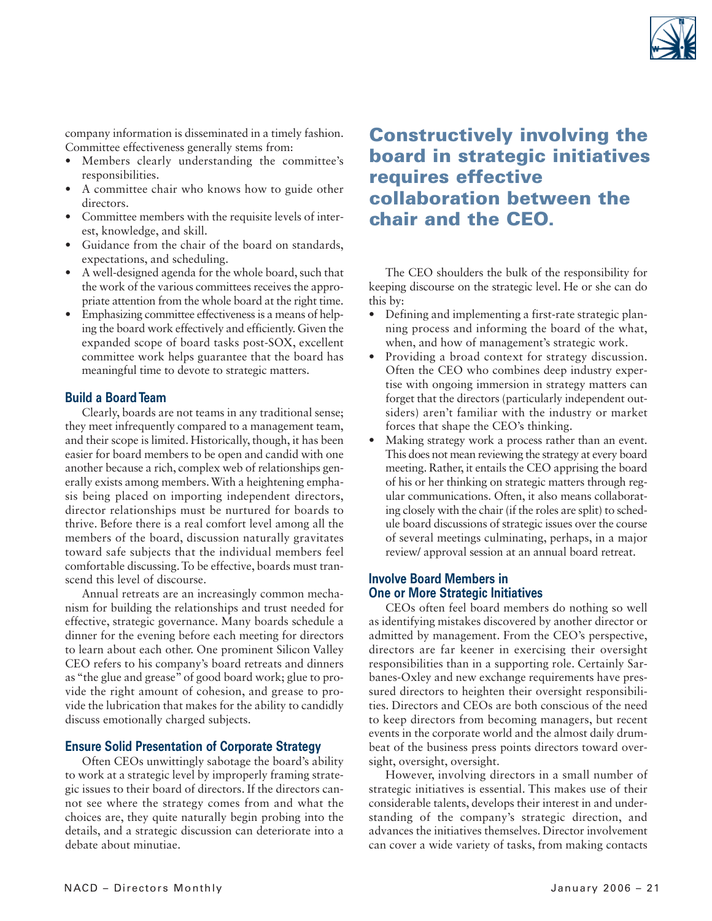

company information is disseminated in a timely fashion. Committee effectiveness generally stems from:

- Members clearly understanding the committee's responsibilities.
- A committee chair who knows how to guide other directors.
- Committee members with the requisite levels of interest, knowledge, and skill.
- Guidance from the chair of the board on standards, expectations, and scheduling.
- A well-designed agenda for the whole board, such that the work of the various committees receives the appropriate attention from the whole board at the right time.
- Emphasizing committee effectiveness is a means of helping the board work effectively and efficiently. Given the expanded scope of board tasks post-SOX, excellent committee work helps guarantee that the board has meaningful time to devote to strategic matters.

### Build a Board Team

Clearly, boards are not teams in any traditional sense; they meet infrequently compared to a management team, and their scope is limited. Historically, though, it has been easier for board members to be open and candid with one another because a rich, complex web of relationships generally exists among members. With a heightening emphasis being placed on importing independent directors, director relationships must be nurtured for boards to thrive. Before there is a real comfort level among all the members of the board, discussion naturally gravitates toward safe subjects that the individual members feel comfortable discussing. To be effective, boards must transcend this level of discourse.

Annual retreats are an increasingly common mechanism for building the relationships and trust needed for effective, strategic governance. Many boards schedule a dinner for the evening before each meeting for directors to learn about each other. One prominent Silicon Valley CEO refers to his company's board retreats and dinners as "the glue and grease"of good board work; glue to provide the right amount of cohesion, and grease to provide the lubrication that makes for the ability to candidly discuss emotionally charged subjects.

#### Ensure Solid Presentation of Corporate Strategy

Often CEOs unwittingly sabotage the board's ability to work at a strategic level by improperly framing strategic issues to their board of directors. If the directors cannot see where the strategy comes from and what the choices are, they quite naturally begin probing into the details, and a strategic discussion can deteriorate into a debate about minutiae.

# Constructively involving the board in strategic initiatives requires effective collaboration between the chair and the CEO.

The CEO shoulders the bulk of the responsibility for keeping discourse on the strategic level. He or she can do this by:

- Defining and implementing a first-rate strategic planning process and informing the board of the what, when, and how of management's strategic work.
- Providing a broad context for strategy discussion. Often the CEO who combines deep industry expertise with ongoing immersion in strategy matters can forget that the directors (particularly independent outsiders) aren't familiar with the industry or market forces that shape the CEO's thinking.
- Making strategy work a process rather than an event. This does not mean reviewing the strategy at every board meeting. Rather, it entails the CEO apprising the board of his or her thinking on strategic matters through regular communications. Often, it also means collaborating closely with the chair (if the roles are split) to schedule board discussions of strategic issues over the course of several meetings culminating, perhaps, in a major review/ approval session at an annual board retreat.

# Involve Board Members in One or More Strategic Initiatives

CEOs often feel board members do nothing so well as identifying mistakes discovered by another director or admitted by management. From the CEO's perspective, directors are far keener in exercising their oversight responsibilities than in a supporting role. Certainly Sarbanes-Oxley and new exchange requirements have pressured directors to heighten their oversight responsibilities. Directors and CEOs are both conscious of the need to keep directors from becoming managers, but recent events in the corporate world and the almost daily drumbeat of the business press points directors toward oversight, oversight, oversight.

However, involving directors in a small number of strategic initiatives is essential. This makes use of their considerable talents, develops their interest in and understanding of the company's strategic direction, and advances the initiatives themselves. Director involvement can cover a wide variety of tasks, from making contacts